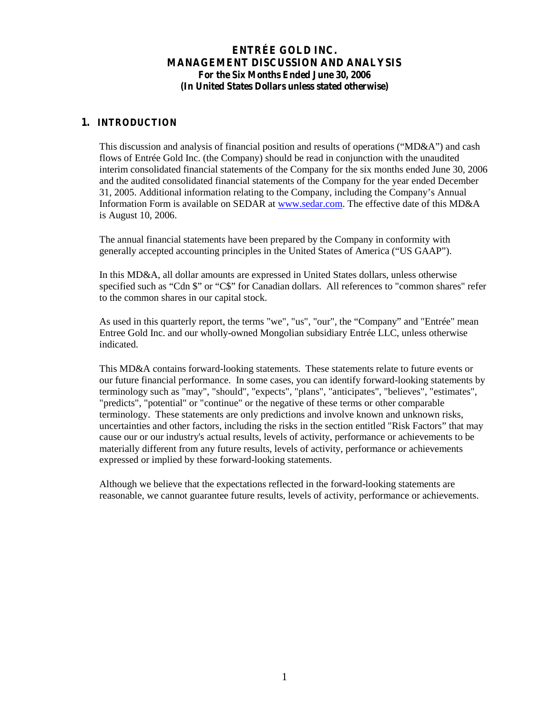#### **1. INTRODUCTION**

T his discussion and analysis of financial position and results of operations ("M D & A ") and cash flows of Entrée Gold Inc. (the Company) should be read in conjunction with the unaudited interim consolidated financial statements of the Company for the six months ended June 30, 2006 and the audited consolidated financial statements of the Company for the year ended December 31, 2005. A dditional inform ation relating to the C om pany, including the C om pany's A nnual Information Form is available on SEDAR a[t www.sedar.com.](http://www.sedar.com/) The effective date of this MD&A is August 10, 2006.

The annual financial statements have been prepared by the Company in conformity with generally accepted accounting principles in the United States of A  $m$  erica ("U S  $G$  A A P").

In this MD&A, all dollar amounts are expressed in United States dollars, unless otherwise specified such as "C dn  $\frac{8}{3}$ " or "C  $\frac{8}{3}$ " for C anadian dollars. A ll references to "com m on shares" refer to the common shares in our capital stock.

A s used in this quarterly report, the term s "w e", "us", "our", the "C om pany" and "E ntrée" m ean Entree Gold Inc. and our wholly-owned Mongolian subsidiary Entrée LLC, unless otherwise indicated.

This MD&A contains forward-looking statements. These statements relate to future events or our future financial performance. In some cases, you can identify forward-looking statements by terminology such as "may", "should", "expects", "plans", "anticipates", "believes", "estimates", "predicts", "potential" or "continue" or the negative of these terms or other comparable terminology. These statements are only predictions and involve known and unknown risks, uncertainties and other factors, including the risks in the section entitled "Risk Factors" thatmay cause our or our industry's actual results, levels of activity, performance or achievements to be materially different from any future results, levels of activity, performance or achievements expressed or implied by these forward-looking statements.

Although we believe that the expectations reflected in the forward-looking statements are reasonable, we cannot guarantee future results, levels of activity, performance or achievements.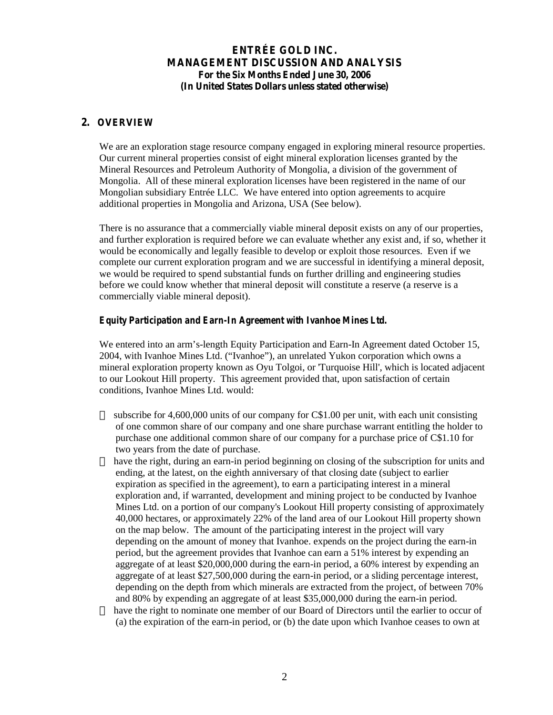#### **2. OVERVIEW**

We are an exploration stage resource company engaged in exploring mineral resource properties. Our current mineral properties consist of eight mineral exploration licenses granted by the Mineral Resources and Petroleum Authority of Mongolia, a division of the government of Mongolia. All of these mineral exploration licenses have been registered in the name of our Mongolian subsidiary Entrée LLC. We have entered into option agreements to acquire additional properties in Mongolia and Arizona, USA (See below).

There is no assurance that a commercially viable mineral deposit exists on any of our properties, and further exploration is required before we can evaluate whether any exist and, if so, whether it would be economically and legally feasible to develop or exploit those resources. Even if we complete our current exploration program and we are successful in identifying a mineral deposit, we would be required to spend substantial funds on further drilling and engineering studies before we could know whether that mineral deposit will constitute a reserve (a reserve is a commercially viable mineral deposit).

#### *Equity Participation and Earn-In Agreement with Ivanhoe Mines Ltd.*

We entered into an arm's-length Equity Participation and Earn-In Agreement dated October 15, 2004, with Ivanhoe Mines Ltd. ("Ivanhoe"), an unrelated Yukon corporation which owns a mineral exploration property known as Oyu Tolgoi, or 'Turquoise Hill', which is located adjacent to our Lookout Hill property. This agreement provided that, upon satisfaction of certain conditions, Ivanhoe Mines Ltd. would:

subscribe for 4,600,000 units of our company for C\$1.00 per unit, with each unit consisting of one common share of our company and one share purchase warrant entitling the holder to purchase one additional common share of our company for a purchase price of C\$1.10 for two years from the date of purchase.

have the right, during an earn-in period beginning on closing of the subscription for units and ending, at the latest, on the eighth anniversary of that closing date (subject to earlier expiration as specified in the agreement), to earn a participating interest in a mineral exploration and, if warranted, development and mining project to be conducted by Ivanhoe Mines Ltd. on a portion of our company's Lookout Hill property consisting of approximately 40,000 hectares, or approximately 22% of the land area of our Lookout Hill property shown on the map below. The amount of the participating interest in the project will vary depending on the amount of money that Ivanhoe. expends on the project during the earn-in period, but the agreement provides that Ivanhoe can earn a 51% interest by expending an aggregate of at least \$20,000,000 during the earn-in period, a 60% interest by expending an aggregate of at least \$27,500,000 during the earn-in period, or a sliding percentage interest, depending on the depth from which minerals are extracted from the project, of between 70% and 80% by expending an aggregate of at least \$35,000,000 during the earn-in period. have the right to nominate one member of our Board of Directors until the earlier to occur of (a) the expiration of the earn-in period, or (b) the date upon which Ivanhoe ceases to own at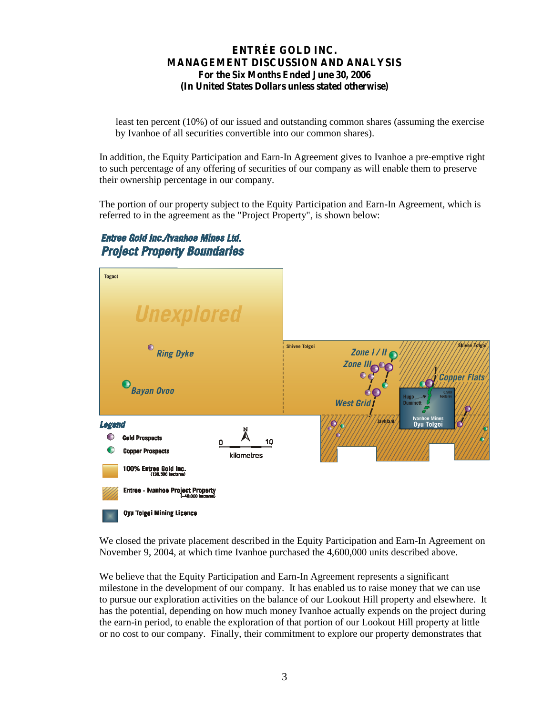least ten percent (10%) of our issued and outstanding common shares (assuming the exercise by Ivanhoe of all securities convertible into our common shares).

In addition, the Equity Participation and Earn-In Agreement gives to Ivanhoe a pre-emptive right to such percentage of any offering of securities of our company as will enable them to preserve their ownership percentage in our company.

The portion of our property subject to the Equity Participation and Earn-In Agreement, which is referred to in the agreement as the "Project Property", is shown below:

## Entree Gold Inc./Ivanhoe Mines Ltd. **Project Property Boundaries**



We closed the private placement described in the Equity Participation and Earn-In Agreement on November 9, 2004, at which time Ivanhoe purchased the 4,600,000 units described above.

We believe that the Equity Participation and Earn-In Agreement represents a significant milestone in the development of our company. It has enabled us to raise money that we can use to pursue our exploration activities on the balance of our Lookout Hill property and elsewhere. It has the potential, depending on how much money Ivanhoe actually expends on the project during the earn-in period, to enable the exploration of that portion of our Lookout Hill property at little or no cost to our company. Finally, their commitment to explore our property demonstrates that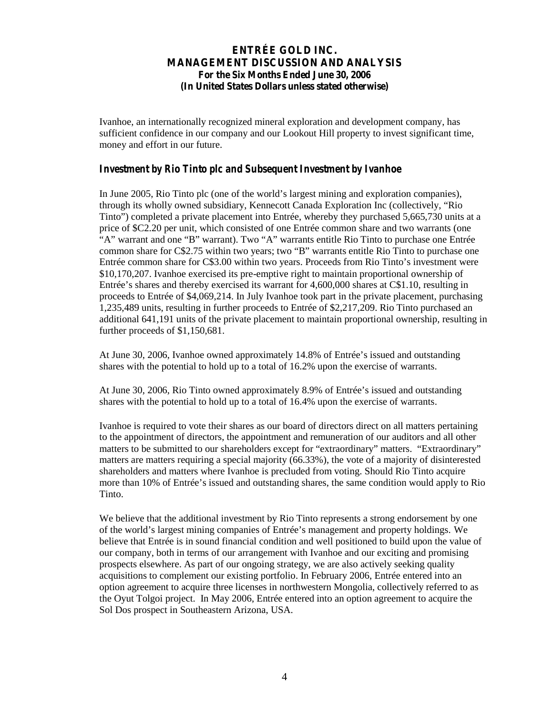Ivanhoe, an internationally recognized mineral exploration and development company, has sufficient confidence in our company and our Lookout Hill property to invest significant time, money and effort in our future.

#### *Investment by Rio Tinto plc and Subsequent Investment by Ivanhoe*

In June 2005, Rio Tinto plc (one of the world's largest m ining and exploration companies), through its w holly ow ned subsidiary, K ennecott C anada E xploration Inc (collectively, "R io T into") com pleted a private placem ent into E ntrée, w hereby they purchased 5,665,730 units at a price of \$C2.20 per unit, which consisted of one Entrée common share and two warrants (one  $\mathbb{R}^n$  " w arrant and one "B" w arrant). Two "A" w arrants entitle R io T into to purchase one Entrée com m on share for  $C \$  2.75 w ithin two years; two "B" w arrants entitle R io T into to purchase one Entrée common share for C\$3.00 within two years. Proceeds from R io T into's investment were \$10,170,207. Ivanhoe exercised its pre-emptive right to maintain proportional ownership of E ntrée's shares and thereby exercised its warrant for 4,600,000 shares at C\$1.10, resulting in proceeds to Entrée of \$4,069,214. In July Ivanhoe took part in the private placement, purchasing 1,235,489 units, resulting in further proceeds to Entrée of \$2,217,209. Rio Tinto purchased an additional 641,191 units of the private placement to maintain proportional ownership, resulting in further proceeds of \$1,150,681.

At June 30, 2006, Ivanhoe owned approximately 14.8% of E ntrée's issued and outstanding shares with the potential to hold up to a total of 16.2% upon the exercise of warrants.

At June 30, 2006, Rio Tinto owned approximately 8.9% of E ntrée's issued and outstanding shares with the potential to hold up to a total of 16.4% upon the exercise of warrants.

Ivanhoe is required to vote their shares as our board of directors direct on all matters pertaining to the appointment of directors, the appointment and remuneration of our auditors and all other m atters to be subm itted to our shareholders except for "extraordinary" m atters. "E xtraordinary" matters are matters requiring a special majority (66.33%), the vote of a majority of disinterested shareholders and matters where Ivanhoe is precluded from voting. Should Rio Tinto acquire m ore than 10% of E ntrée's issued and outstanding shares, the sam e condition w ould apply to R io Tinto.

We believe that the additional investment by Rio Tinto represents a strong endorsement by one of the w orld's largest m ining co m panies of E ntrée's m anagem ent and property holdings. We believe that Entrée is in sound financial condition and well positioned to build upon the value of our company, both in terms of our arrangement with Ivanhoe and our exciting and promising prospects elsewhere. As part of our ongoing strategy, we are also actively seeking quality acquisitions to complement our existing portfolio. In February 2006, Entrée entered into an option agreement to acquire three licenses in northwestern Mongolia, collectively referred to as the Oyut Tolgoi project. In May 2006, Entrée entered into an option agreement to acquire the Sol Dos prospect in Southeastern Arizona, USA.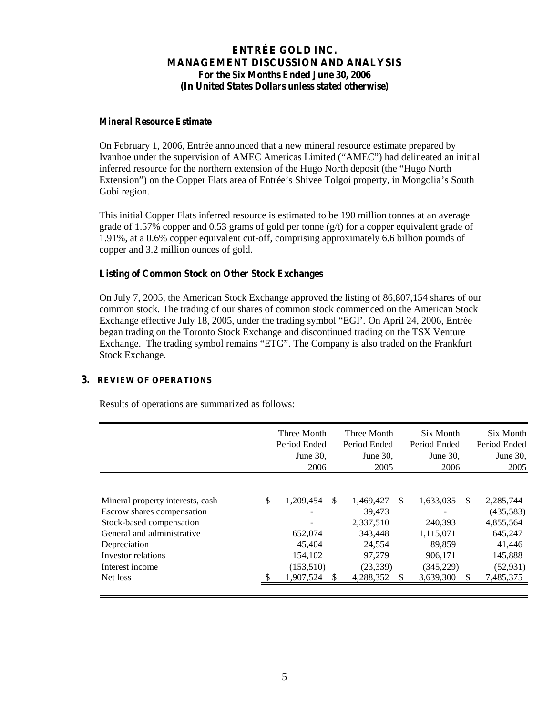#### *Mineral Resource Estimate*

On February 1, 2006, Entrée announced that a new mineral resource estimate prepared by Ivanhoe under the supervision of A M E C A m ericas L im ited ("A M E C ") had delineated an initial inferred resource for the northern extension of the Hugo N orth deposit (the "H ugo N orth Extension") on the C opper F lats area of E ntrée's S hivee T olgoi property, in M ongolia's S outh Gobi region.

This initial Copper Flats inferred resource is estimated to be 190 million tonnes at an average grade of 1.57% copper and 0.53 grams of gold per tonne  $(g/t)$  for a copper equivalent grade of 1.91%, at a 0.6% copper equivalent cut-off, comprising approximately 6.6 billion pounds of copper and 3.2 million ounces of gold.

#### **Listing of Common Stock on Other Stock Exchanges**

On July 7, 2005, the American Stock Exchange approved the listing of 86,807,154 shares of our common stock. The trading of our shares of common stock commenced on the American Stock E xchange effective July 18, 2005, under the trading sym bol "E G I'.On April 24, 2006, Entrée began trading on the Toronto Stock Exchange and discontinued trading on the TSX Venture E xchange. T he trading sym bol rem ains "E T G ".The Company is also traded on the Frankfurt Stock Exchange.

#### **3. REVIEW OF OPERATIONS**

Results of operations are summarized as follows:

| \$<br>Mineral property interests, cash<br>Escrow shares compensation<br>Stock-based compensation<br>General and administrative |                                                         |                                                                                    |    |                                                                      |    |                                                                                  |
|--------------------------------------------------------------------------------------------------------------------------------|---------------------------------------------------------|------------------------------------------------------------------------------------|----|----------------------------------------------------------------------|----|----------------------------------------------------------------------------------|
| Depreciation<br>Investor relations<br>Interest income                                                                          | 1,209,454<br>652,074<br>45,404<br>154,102<br>(153, 510) | \$<br>1,469,427<br>39.473<br>2,337,510<br>343,448<br>24,554<br>97,279<br>(23, 339) | -S | 1,633,035<br>240,393<br>1,115,071<br>89,859<br>906,171<br>(345, 229) | S. | 2,285,744<br>(435,583)<br>4,855,564<br>645.247<br>41,446<br>145,888<br>(52, 931) |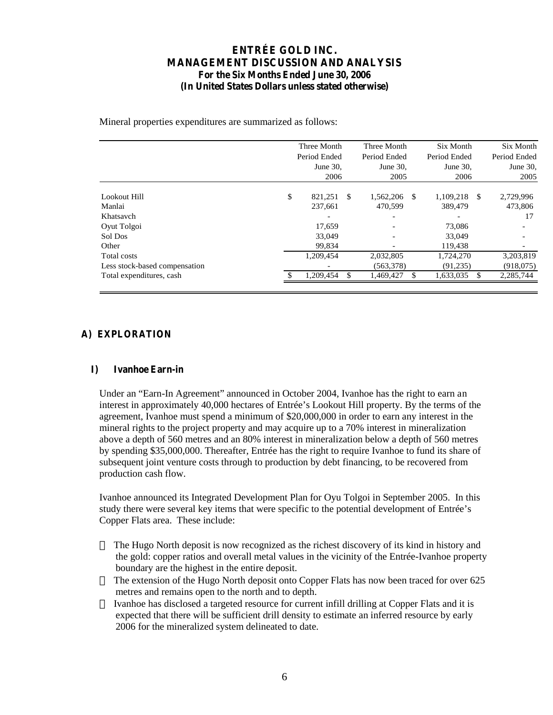Mineral properties expenditures are summarized as follows:

|                               | Three Month  |           |    | Three Month  |              | Six Month |              | Six Month |
|-------------------------------|--------------|-----------|----|--------------|--------------|-----------|--------------|-----------|
|                               | Period Ended |           |    | Period Ended | Period Ended |           | Period Ended |           |
|                               | June $30$ .  |           |    | June 30,     | June $30$ .  |           | June 30,     |           |
|                               |              | 2006      |    | 2005         | 2006         |           | 2005         |           |
| Lookout Hill                  | \$           | 821.251   | -S | 1,562,206    | -S           | 1,109,218 | -S           | 2,729,996 |
|                               |              |           |    |              |              |           |              |           |
| Manlai                        |              | 237,661   |    | 470.599      |              | 389,479   |              | 473,806   |
| Khatsavch                     |              |           |    |              |              |           |              | 17        |
| Oyut Tolgoi                   |              | 17,659    |    |              |              | 73,086    |              |           |
| Sol Dos                       |              | 33,049    |    |              |              | 33,049    |              |           |
| Other                         |              | 99,834    |    |              |              | 119.438   |              |           |
| Total costs                   |              | 1,209,454 |    | 2,032,805    |              | 1,724,270 |              | 3,203,819 |
| Less stock-based compensation |              |           |    | (563,378)    |              | (91,235)  |              | (918,075) |
| Total expenditures, cash      |              | 1,209,454 |    | 1,469,427    |              | 1,633,035 |              | 2,285,744 |
|                               |              |           |    |              |              |           |              |           |

#### **A) EXPLORATION**

#### **I) Ivanhoe Earn-in**

U nder an "E arn -In A greem ent" announced in O ctober 2004, Ivanhoe has the right to earn an interest in approximately 40,000 hectares of  $En$  trée's L ookout H ill property. By the term s of the agreement, Ivanhoe must spend a minimum of \$20,000,000 in order to earn any interest in the mineral rights to the project property and may acquire up to a 70% interest in mineralization above a depth of 560 metres and an 80% interest in mineralization below a depth of 560 metres by spending \$35,000,000. Thereafter, Entrée has the right to require Ivanhoe to fund its share of subsequent joint venture costs through to production by debt financing, to be recovered from production cash flow.

Ivanhoe announced its Integrated Development Plan for Oyu Tolgoi in September 2005. In this study there were several key items that were specific to the potential development of  $E$  n trée's Copper Flats area. These include:

The Hugo North deposit is now recognized as the richest discovery of its kind in history and the gold: copper ratios and overall metal values in the vicinity of the Entrée-Ivanhoe property boundary are the highest in the entire deposit.

The extension of the Hugo North deposit onto Copper Flats has now been traced for over 625 metres and remains open to the north and to depth.

Ivanhoe has disclosed a targeted resource for current infill drilling at Copper Flats and it is expected that there will be sufficient drill density to estimate an inferred resource by early 2006 for the mineralized system delineated to date.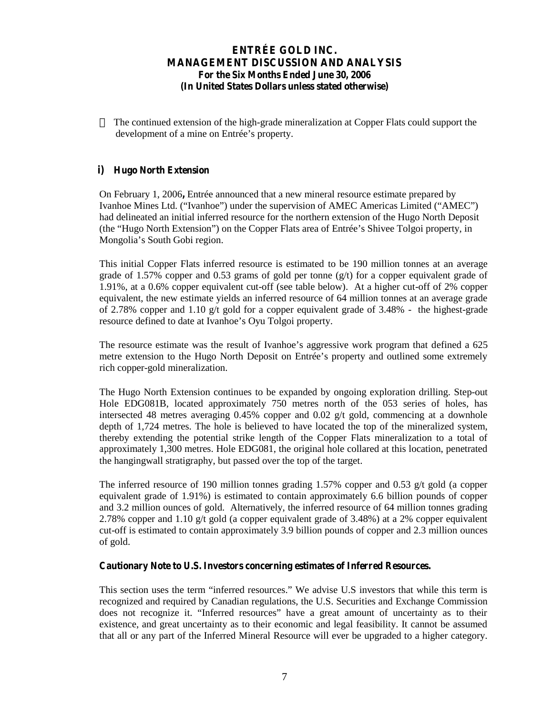The continued extension of the high-grade mineralization at Copper Flats could support the developm ent of a m ine on E ntrée's property.

#### **i) Hugo North Extension**

On February 1, 2006**,** Entrée announced that a new mineral resource estimate prepared by Ivanhoe Mines Ltd. ("Ivanhoe") under the supervision of A M E C A m ericas L im ited ("A M E C") had delineated an initial inferred resource for the northern extension of the Hugo North Deposit (the "H ugo N orth E xtension") on the C opper F lats area of E ntrée's S hivee T olgoi property, in M ongolia's South G obi region.

This initial Copper Flats inferred resource is estimated to be 190 million tonnes at an average grade of 1.57% copper and 0.53 grams of gold per tonne  $(g/t)$  for a copper equivalent grade of 1.91%, at a 0.6% copper equivalent cut-off (see table below). At a higher cut-off of 2% copper equivalent, the new estimate yields an inferred resource of 64 million tonnes at an average grade of 2.78% copper and 1.10  $g/t$  gold for a copper equivalent grade of 3.48% - the highest-grade resource defined to date at Ivanhoe's O yu T olgoi property.

The resource estimate was the result of Ivanhoe's aggressive w ork program that defined a  $625$ m etre extension to the H ugo N orth D eposit on E ntrée's property and outlined som e extrem ely rich copper-gold mineralization.

The Hugo North Extension continues to be expanded by ongoing exploration drilling. Step-out Hole EDG081B, located approximately 750 metres north of the 053 series of holes, has intersected 48 metres averaging 0.45% copper and 0.02  $g/t$  gold, commencing at a downhole depth of 1,724 metres. The hole is believed to have located the top of the mineralized system, thereby extending the potential strike length of the Copper Flats mineralization to a total of approximately 1,300 metres. Hole EDG081, the original hole collared at this location, penetrated the hangingwall stratigraphy, but passed over the top of the target.

The inferred resource of 190 million tonnes grading 1.57% copper and 0.53  $g/t$  gold (a copper equivalent grade of 1.91%) is estimated to contain approximately 6.6 billion pounds of copper and 3.2 million ounces of gold. Alternatively, the inferred resource of 64 million tonnes grading 2.78% copper and 1.10  $g/t$  gold (a copper equivalent grade of 3.48%) at a 2% copper equivalent cut-off is estimated to contain approximately 3.9 billion pounds of copper and 2.3 million ounces of gold.

### **Cautionary Note to U.S. Investors concerning estimates of Inferred Resources.**

T his section uses the term "inferred resources." W e advise U .S investors that w hile this term is recognized and required by Canadian regulations, the U.S. Securities and Exchange Commission does not recognize it. "Inferred resources" have a great am ount of uncertainty as to their existence, and great uncertainty as to their economic and legal feasibility. It cannot be assumed that all or any part of the Inferred Mineral Resource will ever be upgraded to a higher category.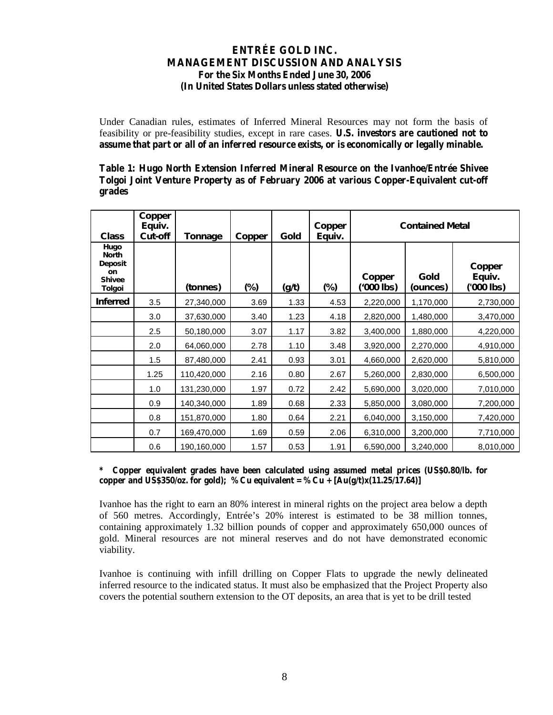Under Canadian rules, estimates of Inferred Mineral Resources may not form the basis of feasibility or pre-feasibility studies, except in rare cases. **U.S. investors are cautioned not to assume that part or all of an inferred resource exists, or is economically or legally minable.**

**Table 1: Hugo North Extension Inferred Mineral Resource on the Ivanhoe/Entrée Shivee Tolgoi Joint Venture Property as of February 2006 at various Copper-Equivalent cut-off grades**

| <b>Class</b>                                                     | Copper<br>Equiv.<br>Cut-off | <b>Tonnage</b> | <b>Copper</b> | Gold  | <b>Copper</b><br>Equiv. | <b>Contained Metal</b> |                  |                                |  |  |  |
|------------------------------------------------------------------|-----------------------------|----------------|---------------|-------|-------------------------|------------------------|------------------|--------------------------------|--|--|--|
| Hugo<br><b>North</b><br>Deposit<br>on<br><b>Shivee</b><br>Tolgoi |                             | (tonnes)       | (%)           | (g/t) | $(\%)$                  | Copper<br>(OOO lbs)    | Gold<br>(ounces) | Copper<br>Equiv.<br>('000 lbs) |  |  |  |
| <i><b>Inferred</b></i>                                           | 3.5                         | 27,340,000     | 3.69          | 1.33  | 4.53                    | 2,220,000              | 1,170,000        | 2,730,000                      |  |  |  |
|                                                                  | 3.0                         | 37,630,000     | 3.40          | 1.23  | 4.18                    | 2,820,000              | 1,480,000        | 3,470,000                      |  |  |  |
|                                                                  | 2.5                         | 50,180,000     | 3.07          | 1.17  | 3.82                    | 3,400,000              | 1,880,000        | 4,220,000                      |  |  |  |
|                                                                  | 2.0                         | 64,060,000     | 2.78          | 1.10  | 3.48                    | 3,920,000              | 2,270,000        | 4,910,000                      |  |  |  |
|                                                                  | 1.5                         | 87,480,000     | 2.41          | 0.93  | 3.01                    | 4,660,000              | 2,620,000        | 5,810,000                      |  |  |  |
|                                                                  | 1.25                        | 110,420,000    | 2.16          | 0.80  | 2.67                    | 5,260,000              | 2,830,000        | 6,500,000                      |  |  |  |
|                                                                  | 1.0                         | 131,230,000    | 1.97          | 0.72  | 2.42                    | 5,690,000              | 3,020,000        | 7,010,000                      |  |  |  |
|                                                                  | 0.9                         | 140,340,000    | 1.89          | 0.68  | 2.33                    | 5,850,000              | 3,080,000        | 7,200,000                      |  |  |  |
|                                                                  | 0.8                         | 151,870,000    | 1.80          | 0.64  | 2.21                    | 6,040,000              | 3,150,000        | 7,420,000                      |  |  |  |
|                                                                  | 0.7                         | 169,470,000    | 1.69          | 0.59  | 2.06                    | 6,310,000              | 3,200,000        | 7,710,000                      |  |  |  |
|                                                                  | 0.6                         | 190,160,000    | 1.57          | 0.53  | 1.91                    | 6,590,000              | 3,240,000        | 8,010,000                      |  |  |  |

**\* Copper equivalent grades have been calculated using assumed metal prices (US\$0.80/lb. for**  copper and US\$350/oz. for gold); %Cu equivalent = %Cu +  $[Au(g/t)x(11.25/17.64)]$ 

Ivanhoe has the right to earn an 80% interest in mineral rights on the project area below a depth of 560 m etres. A ccordingly, E ntrée's 20% interest is estim ated to be 38 m illion tonnes, containing approximately 1.32 billion pounds of copper and approximately 650,000 ounces of gold. Mineral resources are not mineral reserves and do not have demonstrated economic viability.

Ivanhoe is continuing with infill drilling on Copper Flats to upgrade the newly delineated inferred resource to the indicated status. It must also be emphasized that the Project Property also covers the potential southern extension to the OT deposits, an area that is yet to be drill tested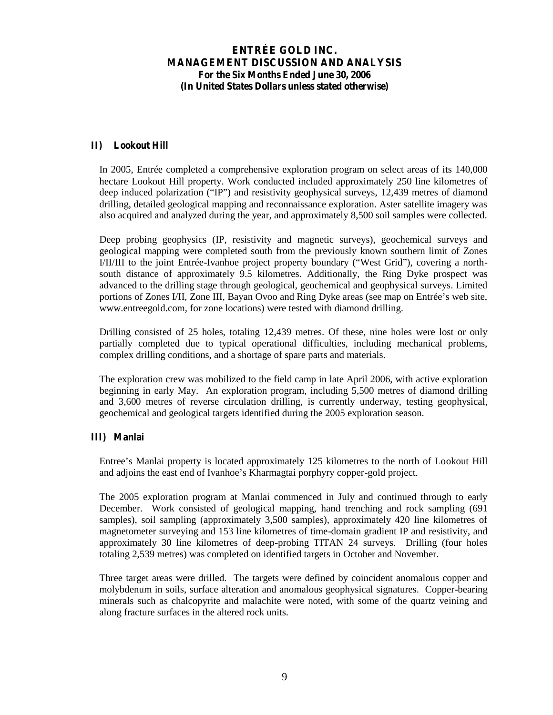#### **II) Lookout Hill**

In 2005, Entrée completed a comprehensive exploration program on select areas of its 140,000 hectare Lookout Hill property. Work conducted included approximately 250 line kilometres of deep induced polarization ("IP") and resistivity geophysical surveys, 12,439 metres of diamond drilling, detailed geological mapping and reconnaissance exploration. Aster satellite imagery was also acquired and analyzed during the year, and approximately 8,500 soil samples were collected.

Deep probing geophysics (IP, resistivity and magnetic surveys), geochemical surveys and geological mapping were completed south from the previously known southern limit of Zones I/II/III to the joint Entrée-Ivanhoe project property boundary ("W est G rid"), covering a north south distance of approximately 9.5 kilometres. Additionally, the Ring Dyke prospect was advanced to the drilling stage through geological, geochemical and geophysical surveys. Limited portions of Z ones I/II, Z one III, B ayan O voo and R ing D yke areas (see m ap on E n trée's w eb site, www.entreegold.com, for zone locations) were tested with diamond drilling.

Drilling consisted of 25 holes, totaling 12,439 metres. Of these, nine holes were lost or only partially completed due to typical operational difficulties, including mechanical problems, complex drilling conditions, and a shortage of spare parts and materials.

The exploration crew was mobilized to the field camp in late April 2006, with active exploration beginning in early May. An exploration program, including 5,500 metres of diamond drilling and 3,600 metres of reverse circulation drilling, is currently underway, testing geophysical, geochemical and geological targets identified during the 2005 exploration season.

#### **III) Manlai**

E ntree's M anlai property is located approxim ately 125 kilom etres to the north of L o okout Hill and adjoins the east end of Ivanhoe's K harm agtai porphyry copper-gold project.

The 2005 exploration program at Manlai commenced in July and continued through to early December. Work consisted of geological mapping, hand trenching and rock sampling (691 samples), soil sampling (approximately 3,500 samples), approximately 420 line kilometres of magnetometer surveying and 153 line kilometres of time-domain gradient IP and resistivity, and approximately 30 line kilometres of deep-probing TITAN 24 surveys. Drilling (four holes totaling 2,539 metres) was completed on identified targets in October and November.

Three target areas were drilled. The targets were defined by coincident anomalous copper and molybdenum in soils, surface alteration and anomalous geophysical signatures. Copper-bearing minerals such as chalcopyrite and malachite were noted, with some of the quartz veining and along fracture surfaces in the altered rock units.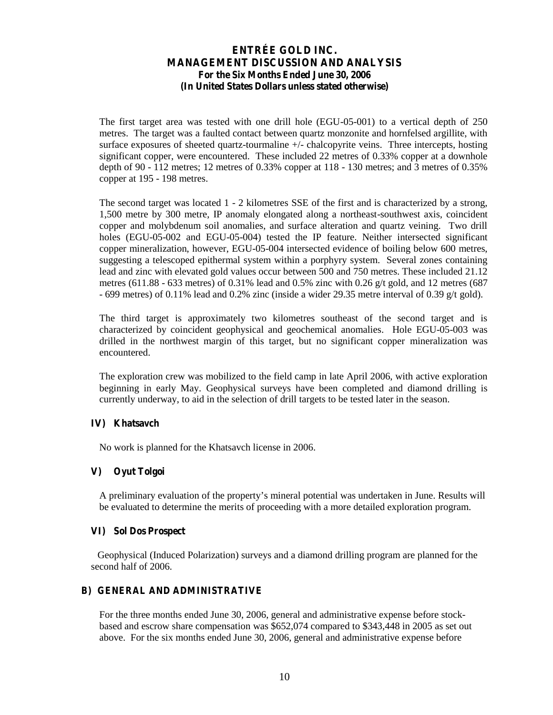The first target area was tested with one drill hole (EGU-05-001) to a vertical depth of 250 metres. The target was a faulted contact between quartz monzonite and hornfelsed argillite, with surface exposures of sheeted quartz-tourmaline +/- chalcopyrite veins. Three intercepts, hosting significant copper, were encountered. These included 22 metres of 0.33% copper at a downhole depth of 90 - 112 metres; 12 metres of 0.33% copper at 118 - 130 metres; and 3 metres of 0.35% copper at 195 - 198 metres.

The second target was located 1 - 2 kilometres SSE of the first and is characterized by a strong, 1,500 metre by 300 metre, IP anomaly elongated along a northeast-southwest axis, coincident copper and molybdenum soil anomalies, and surface alteration and quartz veining. Two drill holes (EGU-05-002 and EGU-05-004) tested the IP feature. Neither intersected significant copper mineralization, however, EGU-05-004 intersected evidence of boiling below 600 metres, suggesting a telescoped epithermal system within a porphyry system. Several zones containing lead and zinc with elevated gold values occur between 500 and 750 metres. These included 21.12 metres (611.88 - 633 metres) of 0.31% lead and 0.5% zinc with 0.26 g/t gold, and 12 metres (687  $-699$  metres) of 0.11% lead and 0.2% zinc (inside a wider 29.35 metre interval of 0.39 g/t gold).

The third target is approximately two kilometres southeast of the second target and is characterized by coincident geophysical and geochemical anomalies. Hole EGU-05-003 was drilled in the northwest margin of this target, but no significant copper mineralization was encountered.

The exploration crew was mobilized to the field camp in late April 2006, with active exploration beginning in early May. Geophysical surveys have been completed and diamond drilling is currently underway, to aid in the selection of drill targets to be tested later in the season.

#### **IV) Khatsavch**

No work is planned for the Khatsavch license in 2006.

#### **V) Oyut Tolgoi**

A preliminary evaluation of the property's m ineral potential w as undertaken in June. R esults w ill be evaluated to determine the merits of proceeding with a more detailed exploration program.

#### **VI) Sol Dos Prospect**

Geophysical (Induced Polarization) surveys and a diamond drilling program are planned for the second half of 2006.

#### **B) GENERAL AND ADMINISTRATIVE**

For the three months ended June 30, 2006, general and administrative expense before stockbased and escrow share compensation was \$652,074 compared to \$343,448 in 2005 as set out above. For the six months ended June 30, 2006, general and administrative expense before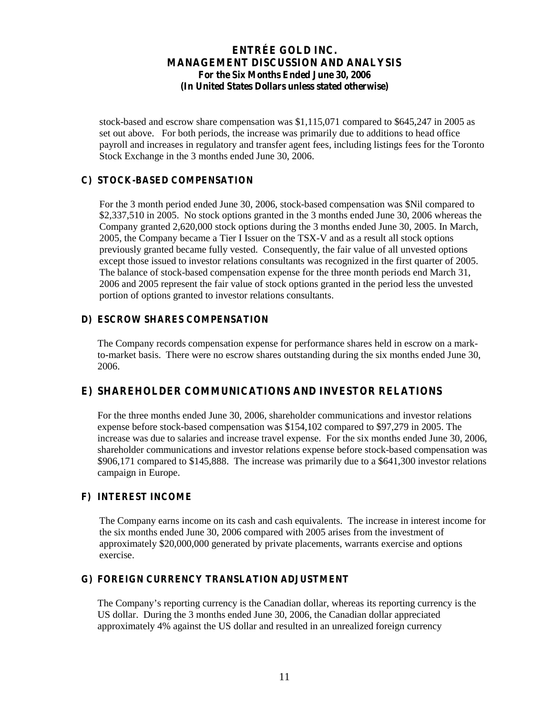stock-based and escrow share compensation was \$1,115,071 compared to \$645,247 in 2005 as set out above. For both periods, the increase was primarily due to additions to head office payroll and increases in regulatory and transfer agent fees, including listings fees for the Toronto Stock Exchange in the 3 months ended June 30, 2006.

#### **C) STOCK-BASED COMPENSATION**

For the 3 month period ended June 30, 2006, stock-based compensation was \$Nil compared to \$2,337,510 in 2005. No stock options granted in the 3 months ended June 30, 2006 whereas the Company granted 2,620,000 stock options during the 3 months ended June 30, 2005. In March, 2005, the Company became a Tier I Issuer on the TSX-V and as a result all stock options previously granted became fully vested. Consequently, the fair value of all unvested options except those issued to investor relations consultants was recognized in the first quarter of 2005. The balance of stock-based compensation expense for the three month periods end March 31, 2006 and 2005 represent the fair value of stock options granted in the period less the unvested portion of options granted to investor relations consultants.

#### **D) ESCROW SHARES COMPENSATION**

The Company records compensation expense for performance shares held in escrow on a markto-market basis. There were no escrow shares outstanding during the six months ended June 30, 2006.

#### **E) SHAREHOLDER COMMUNICATIONS AND INVESTOR RELATIONS**

For the three months ended June 30, 2006, shareholder communications and investor relations expense before stock-based compensation was \$154,102 compared to \$97,279 in 2005. The increase was due to salaries and increase travel expense. For the six months ended June 30, 2006, shareholder communications and investor relations expense before stock-based compensation was \$906,171 compared to \$145,888. The increase was primarily due to a \$641,300 investor relations campaign in Europe.

#### **F) INTEREST INCOME**

The Company earns income on its cash and cash equivalents. The increase in interest income for the six months ended June 30, 2006 compared with 2005 arises from the investment of approximately \$20,000,000 generated by private placements, warrants exercise and options exercise.

#### **G) FOREIGN CURRENCY TRANSLATION ADJUSTMENT**

T he C om pany's reporting currency is the C anadian dollar, w hereas its reporting currency is the US dollar. During the 3 months ended June 30, 2006, the Canadian dollar appreciated approximately 4% against the US dollar and resulted in an unrealized foreign currency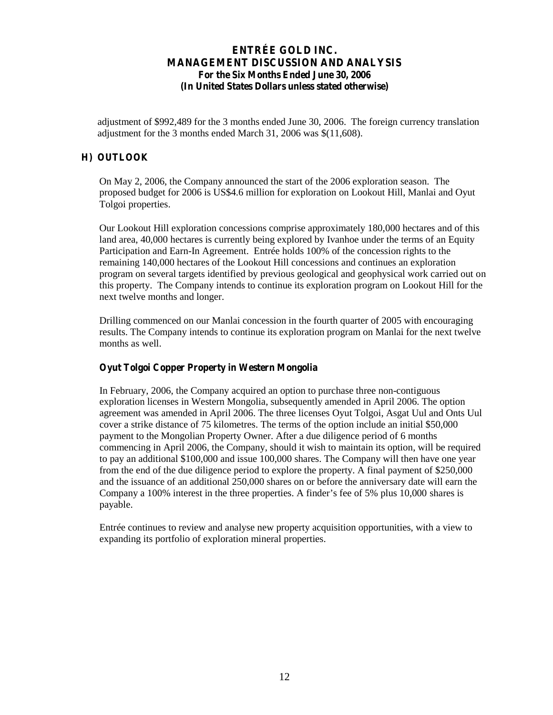adjustment of \$992,489 for the 3 months ended June 30, 2006. The foreign currency translation adjustment for the 3 months ended March 31, 2006 was \$(11,608).

#### **H) OUTLOOK**

On May 2, 2006, the Company announced the start of the 2006 exploration season. The proposed budget for 2006 is US\$4.6 million for exploration on Lookout Hill, Manlai and Oyut Tolgoi properties.

Our Lookout Hill exploration concessions comprise approximately 180,000 hectares and of this land area, 40,000 hectares is currently being explored by Ivanhoe under the terms of an Equity Participation and Earn-In Agreement. Entrée holds 100% of the concession rights to the remaining 140,000 hectares of the Lookout Hill concessions and continues an exploration program on several targets identified by previous geological and geophysical work carried out on this property. The Company intends to continue its exploration program on Lookout Hill for the next twelve months and longer.

Drilling commenced on our Manlai concession in the fourth quarter of 2005 with encouraging results. The Company intends to continue its exploration program on Manlai for the next twelve months as well.

#### **Oyut Tolgoi Copper Property in Western Mongolia**

In February, 2006, the Company acquired an option to purchase three non-contiguous exploration licenses in Western Mongolia, subsequently amended in April 2006. The option agreement was amended in April 2006. The three licenses Oyut Tolgoi, Asgat Uul and Onts Uul cover a strike distance of 75 kilometres. The terms of the option include an initial \$50,000 payment to the Mongolian Property Owner. After a due diligence period of 6 months commencing in April 2006, the Company, should it wish to maintain its option, will be required to pay an additional \$100,000 and issue 100,000 shares. The Company will then have one year from the end of the due diligence period to explore the property. A final payment of \$250,000 and the issuance of an additional 250,000 shares on or before the anniversary date will earn the C om pany a  $100\%$  interest in the three properties. A finder's fee of 5% plus 10,000 shares is payable.

Entrée continues to review and analyse new property acquisition opportunities, with a view to expanding its portfolio of exploration mineral properties.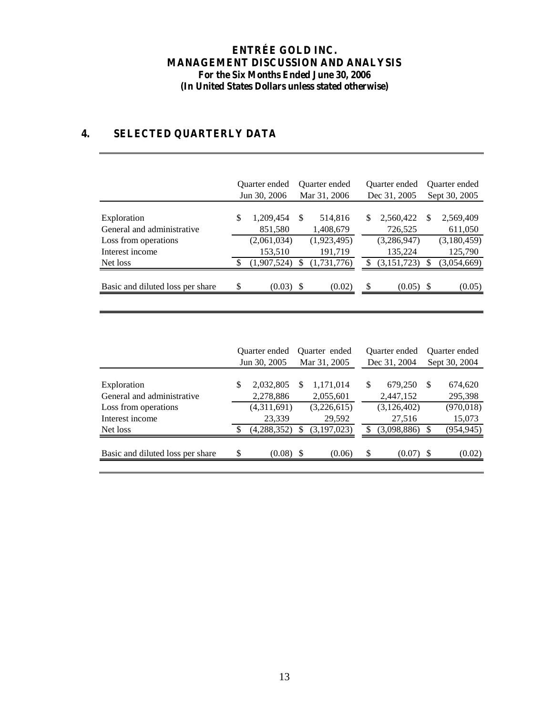# **4. SELECTED QUARTERLY DATA**

|                                           | Quarter ended<br>Jun 30, 2006 |                        |     | <b>Ouarter</b> ended<br>Mar 31, 2006 | Quarter ended<br>Dec 31, 2005 |                        |          | Quarter ended<br>Sept 30, 2005 |  |  |
|-------------------------------------------|-------------------------------|------------------------|-----|--------------------------------------|-------------------------------|------------------------|----------|--------------------------------|--|--|
| Exploration<br>General and administrative | S                             | 1,209,454<br>851,580   | S   | 514,816<br>1,408,679                 | S.                            | 2,560,422<br>726,525   | <b>S</b> | 2,569,409<br>611,050           |  |  |
| Loss from operations<br>Interest income   |                               | (2,061,034)<br>153,510 |     | (1,923,495)<br>191,719               |                               | (3,286,947)<br>135,224 |          | (3,180,459)<br>125,790         |  |  |
| Net loss                                  |                               | (1,907,524)            |     | (1,731,776)                          |                               | (3, 151, 723)          |          | (3,054,669)                    |  |  |
| Basic and diluted loss per share          | \$                            | (0.03)                 | -\$ | (0.02)                               | \$                            | (0.05)                 | -S       | (0.05)                         |  |  |

|                                  | Quarter ended |             | Quarter ended |             |              | <b>Ouarter</b> ended |               | <b>Ouarter</b> ended |  |
|----------------------------------|---------------|-------------|---------------|-------------|--------------|----------------------|---------------|----------------------|--|
|                                  | Jun 30, 2005  |             | Mar 31, 2005  |             | Dec 31, 2004 |                      | Sept 30, 2004 |                      |  |
| Exploration                      | S             | 2,032,805   | S             | 1,171,014   | S            | 679,250              | \$            | 674,620              |  |
| General and administrative       |               | 2,278,886   |               | 2,055,601   |              | 2,447,152            |               | 295,398              |  |
| Loss from operations             |               | (4,311,691) |               | (3,226,615) |              | (3,126,402)          |               | (970, 018)           |  |
| Interest income                  |               | 23,339      |               | 29,592      |              | 27,516               |               | 15,073               |  |
| Net loss                         |               | (4,288,352) |               | (3,197,023) | S            | (3,098,886)          | \$            | (954, 945)           |  |
| Basic and diluted loss per share | \$.           | $(0.08)$ \$ |               | (0.06)      | \$           | $(0.07)$ \$          |               | (0.02)               |  |
|                                  |               |             |               |             |              |                      |               |                      |  |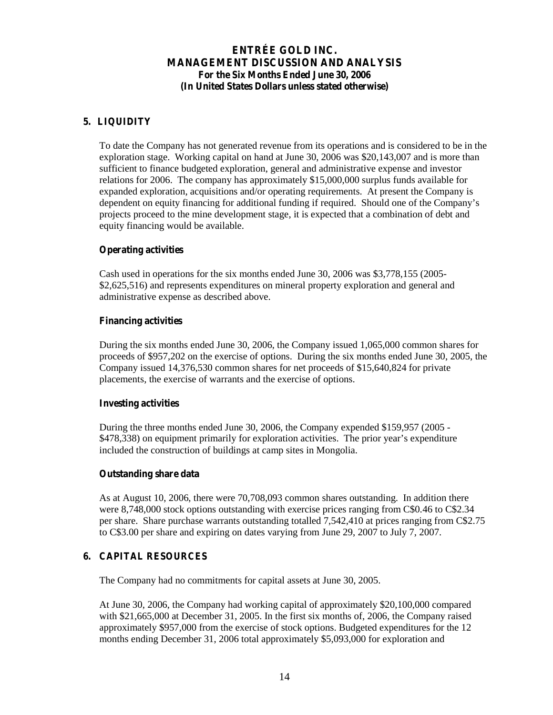### **5. LIQUIDITY**

To date the Company has not generated revenue from its operations and is considered to be in the exploration stage. Working capital on hand at June 30, 2006 was \$20,143,007 and is more than sufficient to finance budgeted exploration, general and administrative expense and investor relations for 2006. The company has approximately \$15,000,000 surplus funds available for expanded exploration, acquisitions and/or operating requirements. At present the Company is dependent on equity financing for additional funding if required. S hould one of the C om pany's projects proceed to the mine development stage, it is expected that a combination of debt and equity financing would be available.

#### **Operating activities**

Cash used in operations for the six months ended June 30, 2006 was \$3,778,155 (2005- \$2,625,516) and represents expenditures on mineral property exploration and general and administrative expense as described above.

#### **Financing activities**

During the six months ended June 30, 2006, the Company issued 1,065,000 common shares for proceeds of \$957,202 on the exercise of options. During the six months ended June 30, 2005, the Company issued 14,376,530 common shares for net proceeds of \$15,640,824 for private placements, the exercise of warrants and the exercise of options.

#### **Investing activities**

During the three months ended June 30, 2006, the Company expended \$159,957 (2005 - \$478,338) on equipment primarily for exploration activities. The prior year's expenditure included the construction of buildings at camp sites in Mongolia.

#### **Outstanding share data**

As at August 10, 2006, there were 70,708,093 common shares outstanding. In addition there were 8,748,000 stock options outstanding with exercise prices ranging from C\$0.46 to C\$2.34 per share. Share purchase warrants outstanding totalled 7,542,410 at prices ranging from C\$2.75 to C\$3.00 per share and expiring on dates varying from June 29, 2007 to July 7, 2007.

#### **6. CAPITAL RESOURCES**

The Company had no commitments for capital assets at June 30, 2005.

At June 30, 2006, the Company had working capital of approximately \$20,100,000 compared with \$21,665,000 at December 31, 2005. In the first six months of, 2006, the Company raised approximately \$957,000 from the exercise of stock options. Budgeted expenditures for the 12 months ending December 31, 2006 total approximately \$5,093,000 for exploration and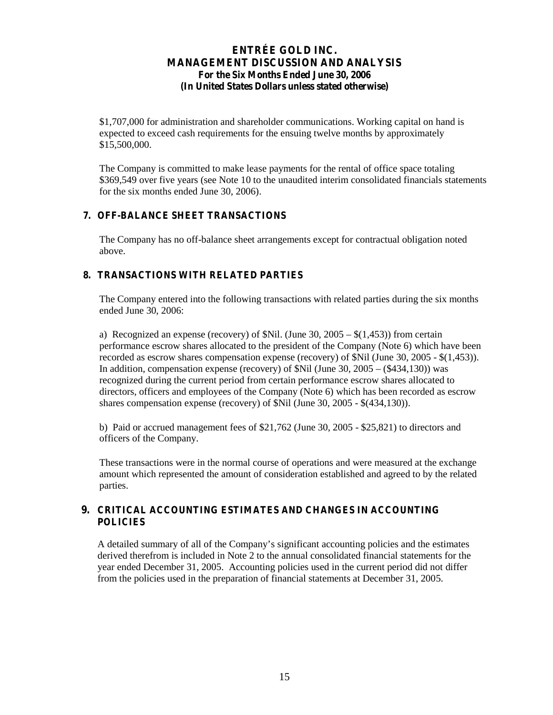\$1,707,000 for administration and shareholder communications. Working capital on hand is expected to exceed cash requirements for the ensuing twelve months by approximately \$15,500,000.

The Company is committed to make lease payments for the rental of office space totaling \$369,549 over five years (see Note 10 to the unaudited interim consolidated financials statements for the six months ended June 30, 2006).

#### **7. OFF-BALANCE SHEET TRANSACTIONS**

The Company has no off-balance sheet arrangements except for contractual obligation noted above.

### **8. TRANSACTIONS WITH RELATED PARTIES**

The Company entered into the following transactions with related parties during the six months ended June 30, 2006:

a) Recognized an expense (recovery) of \$Nil. (June 30, 2005 – \$(1,453)) from certain performance escrow shares allocated to the president of the Company (Note 6) which have been recorded as escrow shares compensation expense (recovery) of \$Nil (June 30, 2005 - \$(1,453)). In addition, compensation expense (recovery) of \$Nil (June 30, 2005 – (\$434,130)) was recognized during the current period from certain performance escrow shares allocated to directors, officers and employees of the Company (Note 6) which has been recorded as escrow shares compensation expense (recovery) of \$Nil (June 30, 2005 - \$(434,130)).

b) Paid or accrued management fees of \$21,762 (June 30, 2005 - \$25,821) to directors and officers of the Company.

These transactions were in the normal course of operations and were measured at the exchange amount which represented the amount of consideration established and agreed to by the related parties.

#### **9. CRITICAL ACCOUNTING ESTIMATES AND CHANGES IN ACCOUNTING POLICIES**

A detailed summary of all of the C om pany's significant accounting policies and the estim ates derived therefrom is included in Note 2 to the annual consolidated financial statements for the year ended December 31, 2005. Accounting policies used in the current period did not differ from the policies used in the preparation of financial statements at December 31, 2005.